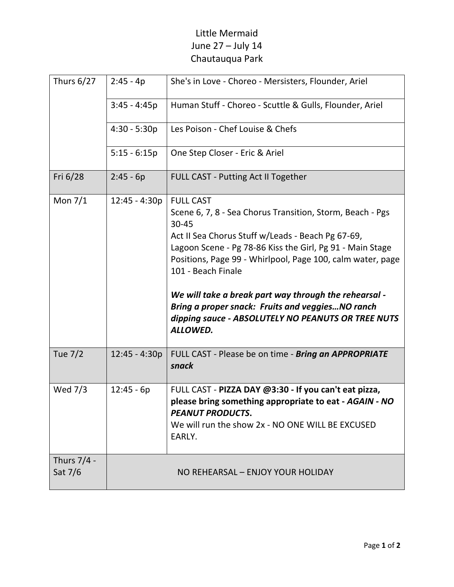## Little Mermaid June 27 – July 14 Chautauqua Park

| <b>Thurs 6/27</b>      | $2:45 - 4p$     | She's in Love - Choreo - Mersisters, Flounder, Ariel                                                                                                                                                                                                                                                                                                                                                                                                                        |
|------------------------|-----------------|-----------------------------------------------------------------------------------------------------------------------------------------------------------------------------------------------------------------------------------------------------------------------------------------------------------------------------------------------------------------------------------------------------------------------------------------------------------------------------|
|                        | $3:45 - 4:45p$  | Human Stuff - Choreo - Scuttle & Gulls, Flounder, Ariel                                                                                                                                                                                                                                                                                                                                                                                                                     |
|                        | $4:30 - 5:30p$  | Les Poison - Chef Louise & Chefs                                                                                                                                                                                                                                                                                                                                                                                                                                            |
|                        | $5:15 - 6:15p$  | One Step Closer - Eric & Ariel                                                                                                                                                                                                                                                                                                                                                                                                                                              |
| Fri 6/28               | $2:45 - 6p$     | FULL CAST - Putting Act II Together                                                                                                                                                                                                                                                                                                                                                                                                                                         |
| Mon $7/1$              | $12:45 - 4:30p$ | <b>FULL CAST</b><br>Scene 6, 7, 8 - Sea Chorus Transition, Storm, Beach - Pgs<br>30-45<br>Act II Sea Chorus Stuff w/Leads - Beach Pg 67-69,<br>Lagoon Scene - Pg 78-86 Kiss the Girl, Pg 91 - Main Stage<br>Positions, Page 99 - Whirlpool, Page 100, calm water, page<br>101 - Beach Finale<br>We will take a break part way through the rehearsal -<br>Bring a proper snack: Fruits and veggiesNO ranch<br>dipping sauce - ABSOLUTELY NO PEANUTS OR TREE NUTS<br>ALLOWED. |
| <b>Tue 7/2</b>         | $12:45 - 4:30p$ | FULL CAST - Please be on time - Bring an APPROPRIATE<br>snack                                                                                                                                                                                                                                                                                                                                                                                                               |
| Wed 7/3                | $12:45 - 6p$    | FULL CAST - PIZZA DAY @3:30 - If you can't eat pizza,<br>please bring something appropriate to eat - AGAIN - NO<br><b>PEANUT PRODUCTS.</b><br>We will run the show 2x - NO ONE WILL BE EXCUSED<br>EARLY.                                                                                                                                                                                                                                                                    |
| Thurs 7/4 -<br>Sat 7/6 |                 | NO REHEARSAL - ENJOY YOUR HOLIDAY                                                                                                                                                                                                                                                                                                                                                                                                                                           |